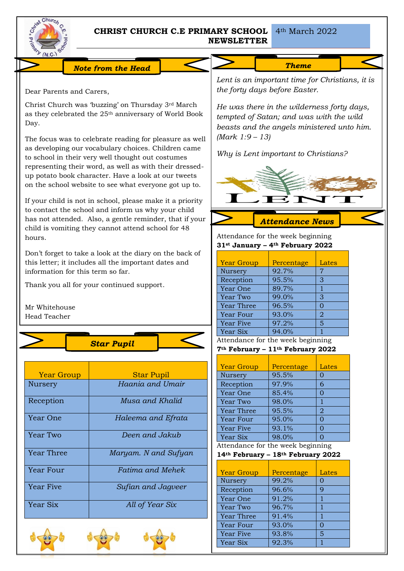

# **CHRIST CHURCH C.E PRIMARY SCHOOL NEWSLETTER**

4th March 2022

*We are preparing for Christmas.*

*Note from the Head* 

Dear Parents and Carers,

Christ Church was 'buzzing' on Thursday 3rd March as they celebrated the 25th anniversary of World Book Day.

The focus was to celebrate reading for pleasure as well as developing our vocabulary choices. Children came to school in their very well thought out costumes representing their word, as well as with their dressedup potato book character. Have a look at our tweets on the school website to see what everyone got up to.

If your child is not in school, please make it a priority to contact the school and inform us why your child has not attended. Also, a gentle reminder, that if your child is vomiting they cannot attend school for 48 hours.

Don't forget to take a look at the diary on the back of this letter; it includes all the important dates and information for this term so far.

Thank you all for your continued support.

Mr Whitehouse Head Teacher



| <b>Year Group</b> | <b>Star Pupil</b>    |
|-------------------|----------------------|
| <b>Nursery</b>    | Haania and Umair     |
| Reception         | Musa and Khalid      |
| Year One          | Haleema and Efrata   |
| Year Two          | Deen and Jakub       |
| Year Three        | Maryam. N and Sufyan |
| Year Four         | Fatima and Mehek     |
| Year Five         | Sufian and Jagveer   |
| Year Six          | All of Year Six      |







*Lent is an important time for Christians, it is the forty days before Easter.*

*He was there in the wilderness forty days, tempted of Satan; and was with the wild beasts and the angels ministered unto him. (Mark 1:9 – 13)*

*Why is Lent important to Christians?*



Attendance for the week beginning **31st January – 4th February 2022**

| <b>Year Group</b> | Percentage | Lates          |
|-------------------|------------|----------------|
| Nursery           | 92.7%      | 7              |
| Reception         | 95.5%      | 3              |
| Year One          | 89.7%      |                |
| Year Two          | 99.0%      | 3              |
| <b>Year Three</b> | 96.5%      | $\Omega$       |
| Year Four         | 93.0%      | $\overline{2}$ |
| Year Five         | 97.2%      | 5              |
| Year Six          | 94.0%      |                |

Attendance for the week beginning

**7th February – 11th February 2022**

| <b>Year Group</b> | Percentage | Lates    |
|-------------------|------------|----------|
| Nursery           | 95.5%      | 0        |
| Reception         | 97.9%      | 6        |
| Year One          | 85.4%      | O        |
| Year Two          | 98.0%      | 1        |
| <b>Year Three</b> | 95.5%      | 2        |
| Year Four         | 95.0%      | $\Omega$ |
| <b>Year Five</b>  | 93.1%      | O        |
| Year Six          | 98.0%      |          |

Attendance for the week beginning

**14th February – 18th February 2022**

| <b>Year Group</b> | Percentage | Lates |
|-------------------|------------|-------|
| Nursery           | 99.2%      |       |
| Reception         | 96.6%      | q     |
| Year One          | 91.2%      |       |
| Year Two          | 96.7%      |       |
| <b>Year Three</b> | 91.4%      |       |
| Year Four         | 93.0%      |       |
| <b>Year Five</b>  | 93.8%      | 5     |
| Year Six          | 92.3%      |       |